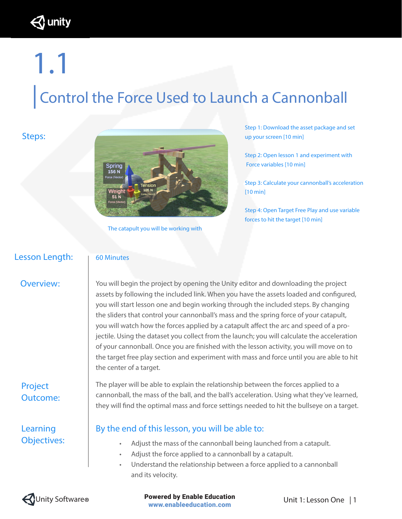unity }

# 1.1 |Control the Force Used to Launch a Cannonball

#### Steps:



The catapult you will be working with

Step 1: Download the asset package and set up your screen [10 min]

Step 2: Open lesson 1 and experiment with Force variables [10 min]

Step 3: Calculate your cannonball's acceleration [10 min]

Step 4: Open Target Free Play and use variable forces to hit the target [10 min]

### Lesson Length:

#### 60 Minutes

#### Overview:

### Project Outcome:

Learning Objectives:

You will begin the project by opening the Unity editor and downloading the project assets by following the included link. When you have the assets loaded and configured, you will start lesson one and begin working through the included steps. By changing the sliders that control your cannonball's mass and the spring force of your catapult, you will watch how the forces applied by a catapult affect the arc and speed of a projectile. Using the dataset you collect from the launch; you will calculate the acceleration of your cannonball. Once you are finished with the lesson activity, you will move on to the target free play section and experiment with mass and force until you are able to hit the center of a target.

cannonball, the mass of the ball, and the ball's acceleration. Using what they've learned, they will find the optimal mass and force settings needed to hit the bullseye on a target.

The player will be able to explain the relationship between the forces applied to a

### By the end of this lesson, you will be able to:

- Adjust the mass of the cannonball being launched from a catapult.
- Adjust the force applied to a cannonball by a catapult.
- Understand the relationship between a force applied to a cannonball and its velocity.



Unity Software<sup>®</sup> **Example 20 Powered by Enable Education Busic Connection** Unit 1: Lesson One | 1 www.enableeducation.com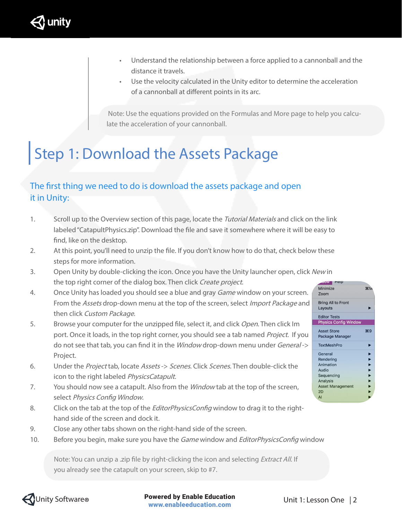

- Understand the relationship between a force applied to a cannonball and the distance it travels.
- Use the velocity calculated in the Unity editor to determine the acceleration of a cannonball at different points in its arc.

 Note: Use the equations provided on the Formulas and More page to help you calculate the acceleration of your cannonball.

### | Step 1: Download the Assets Package

### The first thing we need to do is download the assets package and open it in Unity:

- 1. Scroll up to the Overview section of this page, locate the Tutorial Materials and click on the link labeled "CatapultPhysics.zip". Download the file and save it somewhere where it will be easy to find, like on the desktop.
- 2. At this point, you'll need to unzip the file. If you don't know how to do that, check below these steps for more information.
- 3. Open Unity by double-clicking the icon. Once you have the Unity launcher open, click New in the top right corner of the dialog box. Then click Create project.
- 4. Once Unity has loaded you should see a blue and gray *Game* window on your screen. From the Assets drop-down menu at the top of the screen, select *Import Package* and then click Custom Package.
- 5. Browse your computer for the unzipped file, select it, and click Open. Then click Im port. Once it loads, in the top right corner, you should see a tab named Project. If you do not see that tab, you can find it in the *Window* drop-down menu under *General->* Project.
- 6. Under the Project tab, locate Assets -> Scenes. Click Scenes. Then double-click the icon to the right labeled PhysicsCatapult.
- 7. You should now see a catapult. Also from the *Window* tab at the top of the screen, select Physics Config Window.
- 8. Click on the tab at the top of the *EditorPhysicsConfig* window to drag it to the righthand side of the screen and dock it.
- 9. Close any other tabs shown on the right-hand side of the screen.
- 10. Before you begin, make sure you have the Game window and EditorPhysicsConfig window

Note: You can unzip a .zip file by right-clicking the icon and selecting *Extract All*. If you already see the catapult on your screen, skip to #7.





Unity Software **® Example 2 Powered by Enable Education Example 2** Unit 1: Lesson One | 2 www.enableeducation.com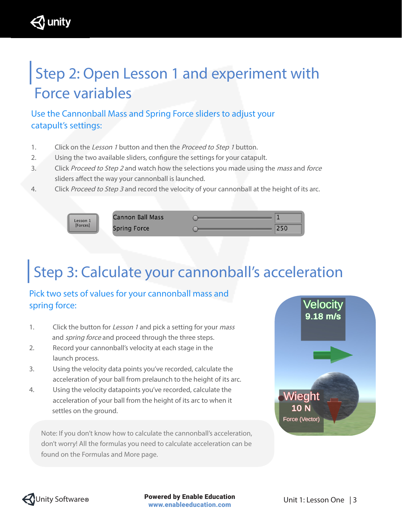### | Step 2: Open Lesson 1 and experiment with Force variables

Use the Cannonball Mass and Spring Force sliders to adjust your catapult's settings:

- 1. Click on the Lesson 1 button and then the Proceed to Step 1 button.
- 2. Using the two available sliders, configure the settings for your catapult.
- 3. Click Proceed to Step 2 and watch how the selections you made using the mass and force sliders affect the way your cannonball is launched.
- 4. Click Proceed to Step 3 and record the velocity of your cannonball at the height of its arc.



unity }

**Spring Force** 

### | Step 3: Calculate your cannonball's acceleration

### Pick two sets of values for your cannonball mass and spring force:

- 1. Click the button for Lesson 1 and pick a setting for your mass and *spring force* and proceed through the three steps.
- 2. Record your cannonball's velocity at each stage in the launch process.
- 3. Using the velocity data points you've recorded, calculate the acceleration of your ball from prelaunch to the height of its arc.
- 4. Using the velocity datapoints you've recorded, calculate the acceleration of your ball from the height of its arc to when it settles on the ground.

Note: If you don't know how to calculate the cannonball's acceleration, don't worry! All the formulas you need to calculate acceleration can be found on the Formulas and More page.



 $250$